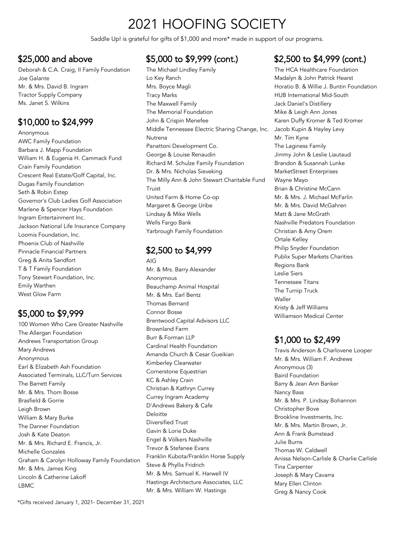# 2021 HOOFING SOCIETY

Saddle Up! is grateful for gifts of \$1,000 and more\* made in support of our programs.

#### \$25,000 and above

Deborah & C.A. Craig, II Family Foundation Joe Galante Mr. & Mrs. David B. Ingram Tractor Supply Company Ms. Janet S. Wilkins

### \$10,000 to \$24,999

Anonymous AWC Family Foundation Barbara J. Mapp Foundation William H. & Eugenia H. Cammack Fund Crain Family Foundation Crescent Real Estate/Goff Capital, Inc. Dugas Family Foundation Seth & Robin Estep Governor's Club Ladies Golf Association Marlene & Spencer Hays Foundation Ingram Entertainment Inc. Jackson National Life Insurance Company Loomis Foundation, Inc. Phoenix Club of Nashville Pinnacle Financial Partners Greg & Anita Sandfort T & T Family Foundation Tony Stewart Foundation, Inc. Emily Warthen West Glow Farm

## \$5,000 to \$9,999

100 Women Who Care Greater Nashville The Allergan Foundation Andrews Transportation Group Mary Andrews Anonymous Earl & Elizabeth Ash Foundation Associated Terminals, LLC/Turn Services The Barrett Family Mr. & Mrs. Thom Bosse Brasfield & Gorrie Leigh Brown William & Mary Burke The Danner Foundation Josh & Kate Deaton Mr. & Mrs. Richard E. Francis, Jr. Michelle Gonzales Graham & Carolyn Holloway Family Foundation Mr. & Mrs. James King Lincoln & Catherine Lakoff LBMC

#### \$5,000 to \$9,999 (cont.)

The Michael Lindley Family Lo Key Ranch Mrs. Boyce Magli Tracy Marks The Maxwell Family The Memorial Foundation John & Crispin Menefee Middle Tennessee Electric Sharing Change, Inc. Nutrena Panattoni Development Co. George & Louise Renaudin Richard M. Schulze Family Foundation Dr. & Mrs. Nicholas Sieveking The Milly Ann & John Stewart Charitable Fund Truist United Farm & Home Co-op Margaret & George Uribe Lindsay & Mike Wells Wells Fargo Bank Yarbrough Family Foundation

## \$2,500 to \$4,999

AIG Mr. & Mrs. Barry Alexander Anonymous Beauchamp Animal Hospital Mr. & Mrs. Earl Bentz Thomas Bernard Connor Bosse Brentwood Capital Advisors LLC Brownland Farm Burr & Forman LLP Cardinal Health Foundation Amanda Church & Cesar Gueikian Kimberley Clearwater Cornerstone Equestrian KC & Ashley Crain Christian & Kathryn Currey Currey Ingram Academy D'Andrews Bakery & Cafe Deloitte Diversified Trust Gavin & Lorie Duke Engel & Völkers Nashville Trevor & Stefanee Evans Franklin Kubota/Franklin Horse Supply Steve & Phyllis Fridrich Mr. & Mrs. Samuel K. Harwell IV Hastings Architecture Associates, LLC Mr. & Mrs. William W. Hastings

### \$2,500 to \$4,999 (cont.)

The HCA Healthcare Foundation Madalyn & John Patrick Hearst Horatio B. & Willie J. Buntin Foundation HUB International Mid-South Jack Daniel's Distillery Mike & Leigh Ann Jones Karen Duffy Kromer & Ted Kromer Jacob Kupin & Hayley Levy Mr. Tim Kyne The Laginess Family Jimmy John & Leslie Liautaud Brandon & Susannah Lunke MarketStreet Enterprises Wayne Mayo Brian & Christine McCann Mr. & Mrs. J. Michael McFarlin Mr. & Mrs. David McGahren Matt & Jane McGrath Nashville Predators Foundation Christian & Amy Orem Ortale Kelley Philip Snyder Foundation Publix Super Markets Charities Regions Bank Leslie Siers Tennessee Titans The Turnip Truck Waller Kristy & Jeff Williams Williamson Medical Center

### \$1,000 to \$2,499

Travis Anderson & Charlovene Looper Mr. & Mrs. William F. Andrews Anonymous (3) Baird Foundation Barry & Jean Ann Banker Nancy Bass Mr. & Mrs. P. Lindsay Bohannon Christopher Bove Brookline Investments, Inc. Mr. & Mrs. Martin Brown, Jr. Ann & Frank Bumstead Julie Burns Thomas W. Caldwell Anissa Nelson-Carlisle & Charlie Carlisle Tina Carpenter Joseph & Mary Cavarra Mary Ellen Clinton Greg & Nancy Cook